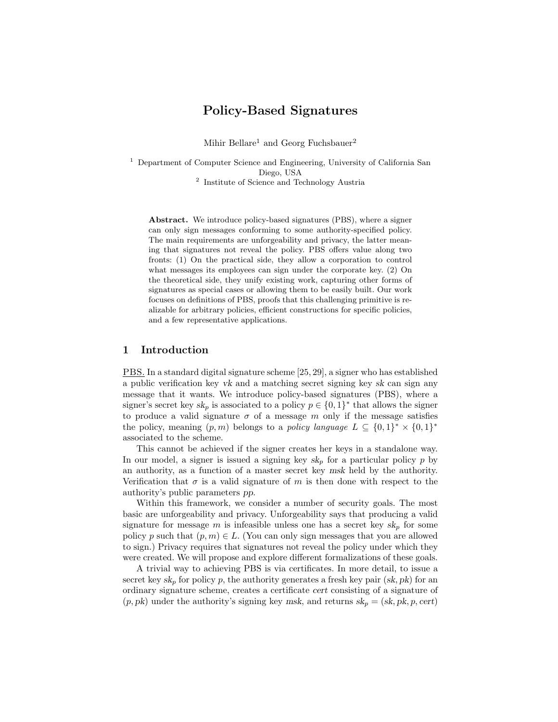# Policy-Based Signatures

Mihir Bellare<sup>1</sup> and Georg Fuchsbauer<sup>2</sup>

<sup>1</sup> Department of Computer Science and Engineering, University of California San Diego, USA

2 Institute of Science and Technology Austria

Abstract. We introduce policy-based signatures (PBS), where a signer can only sign messages conforming to some authority-specified policy. The main requirements are unforgeability and privacy, the latter meaning that signatures not reveal the policy. PBS offers value along two fronts: (1) On the practical side, they allow a corporation to control what messages its employees can sign under the corporate key. (2) On the theoretical side, they unify existing work, capturing other forms of signatures as special cases or allowing them to be easily built. Our work focuses on definitions of PBS, proofs that this challenging primitive is realizable for arbitrary policies, efficient constructions for specific policies, and a few representative applications.

## 1 Introduction

PBS. In a standard digital signature scheme [25, 29], a signer who has established a public verification key vk and a matching secret signing key sk can sign any message that it wants. We introduce policy-based signatures (PBS), where a signer's secret key  $sk_p$  is associated to a policy  $p \in \{0,1\}^*$  that allows the signer to produce a valid signature  $\sigma$  of a message m only if the message satisfies the policy, meaning  $(p, m)$  belongs to a *policy language*  $L \subseteq \{0, 1\}^* \times \{0, 1\}^*$ associated to the scheme.

This cannot be achieved if the signer creates her keys in a standalone way. In our model, a signer is issued a signing key  $sk_p$  for a particular policy p by an authority, as a function of a master secret key msk held by the authority. Verification that  $\sigma$  is a valid signature of m is then done with respect to the authority's public parameters pp.

Within this framework, we consider a number of security goals. The most basic are unforgeability and privacy. Unforgeability says that producing a valid signature for message m is infeasible unless one has a secret key  $sk_p$  for some policy p such that  $(p, m) \in L$ . (You can only sign messages that you are allowed to sign.) Privacy requires that signatures not reveal the policy under which they were created. We will propose and explore different formalizations of these goals.

A trivial way to achieving PBS is via certificates. In more detail, to issue a secret key sk<sub>p</sub> for policy p, the authority generates a fresh key pair  $(s_k, pk)$  for an ordinary signature scheme, creates a certificate cert consisting of a signature of  $(p, pk)$  under the authority's signing key msk, and returns  $sk_p = (sk, pk, p, cert)$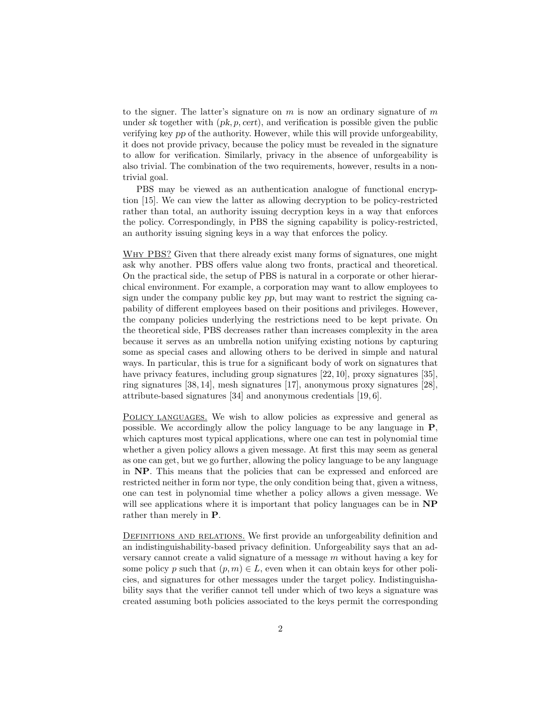to the signer. The latter's signature on  $m$  is now an ordinary signature of  $m$ under sk together with  $(pk, p, cert)$ , and verification is possible given the public verifying key pp of the authority. However, while this will provide unforgeability, it does not provide privacy, because the policy must be revealed in the signature to allow for verification. Similarly, privacy in the absence of unforgeability is also trivial. The combination of the two requirements, however, results in a nontrivial goal.

PBS may be viewed as an authentication analogue of functional encryption [15]. We can view the latter as allowing decryption to be policy-restricted rather than total, an authority issuing decryption keys in a way that enforces the policy. Correspondingly, in PBS the signing capability is policy-restricted, an authority issuing signing keys in a way that enforces the policy.

WHY PBS? Given that there already exist many forms of signatures, one might ask why another. PBS offers value along two fronts, practical and theoretical. On the practical side, the setup of PBS is natural in a corporate or other hierarchical environment. For example, a corporation may want to allow employees to sign under the company public key pp, but may want to restrict the signing capability of different employees based on their positions and privileges. However, the company policies underlying the restrictions need to be kept private. On the theoretical side, PBS decreases rather than increases complexity in the area because it serves as an umbrella notion unifying existing notions by capturing some as special cases and allowing others to be derived in simple and natural ways. In particular, this is true for a significant body of work on signatures that have privacy features, including group signatures [22, 10], proxy signatures [35], ring signatures [38, 14], mesh signatures [17], anonymous proxy signatures [28], attribute-based signatures [34] and anonymous credentials [19, 6].

Policy languages. We wish to allow policies as expressive and general as possible. We accordingly allow the policy language to be any language in P, which captures most typical applications, where one can test in polynomial time whether a given policy allows a given message. At first this may seem as general as one can get, but we go further, allowing the policy language to be any language in NP. This means that the policies that can be expressed and enforced are restricted neither in form nor type, the only condition being that, given a witness, one can test in polynomial time whether a policy allows a given message. We will see applications where it is important that policy languages can be in  $\bf NP$ rather than merely in P.

DEFINITIONS AND RELATIONS. We first provide an unforgeability definition and an indistinguishability-based privacy definition. Unforgeability says that an adversary cannot create a valid signature of a message  $m$  without having a key for some policy p such that  $(p, m) \in L$ , even when it can obtain keys for other policies, and signatures for other messages under the target policy. Indistinguishability says that the verifier cannot tell under which of two keys a signature was created assuming both policies associated to the keys permit the corresponding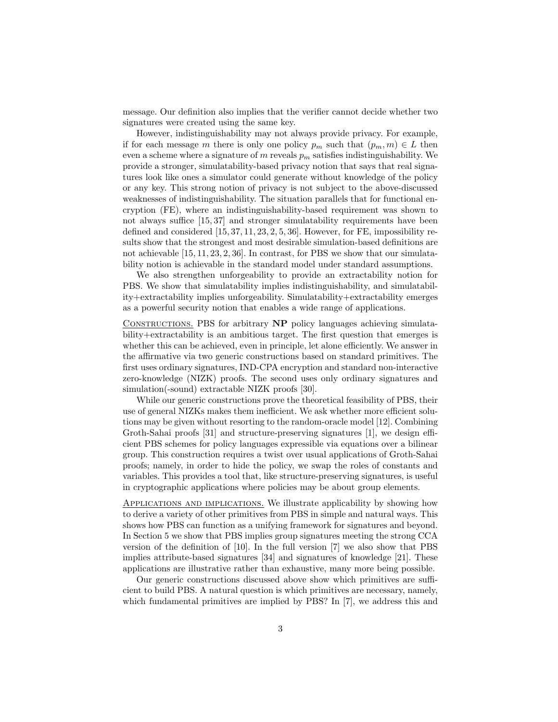message. Our definition also implies that the verifier cannot decide whether two signatures were created using the same key.

However, indistinguishability may not always provide privacy. For example, if for each message m there is only one policy  $p_m$  such that  $(p_m, m) \in L$  then even a scheme where a signature of  $m$  reveals  $p_m$  satisfies indistinguishability. We provide a stronger, simulatability-based privacy notion that says that real signatures look like ones a simulator could generate without knowledge of the policy or any key. This strong notion of privacy is not subject to the above-discussed weaknesses of indistinguishability. The situation parallels that for functional encryption (FE), where an indistinguishability-based requirement was shown to not always suffice [15, 37] and stronger simulatability requirements have been defined and considered  $[15, 37, 11, 23, 2, 5, 36]$ . However, for FE, impossibility results show that the strongest and most desirable simulation-based definitions are not achievable [15, 11, 23, 2, 36]. In contrast, for PBS we show that our simulatability notion is achievable in the standard model under standard assumptions.

We also strengthen unforgeability to provide an extractability notion for PBS. We show that simulatability implies indistinguishability, and simulatability+extractability implies unforgeability. Simulatability+extractability emerges as a powerful security notion that enables a wide range of applications.

Constructions. PBS for arbitrary NP policy languages achieving simulatability+extractability is an ambitious target. The first question that emerges is whether this can be achieved, even in principle, let alone efficiently. We answer in the affirmative via two generic constructions based on standard primitives. The first uses ordinary signatures, IND-CPA encryption and standard non-interactive zero-knowledge (NIZK) proofs. The second uses only ordinary signatures and simulation(-sound) extractable NIZK proofs [30].

While our generic constructions prove the theoretical feasibility of PBS, their use of general NIZKs makes them inefficient. We ask whether more efficient solutions may be given without resorting to the random-oracle model [12]. Combining Groth-Sahai proofs [31] and structure-preserving signatures [1], we design efficient PBS schemes for policy languages expressible via equations over a bilinear group. This construction requires a twist over usual applications of Groth-Sahai proofs; namely, in order to hide the policy, we swap the roles of constants and variables. This provides a tool that, like structure-preserving signatures, is useful in cryptographic applications where policies may be about group elements.

Applications and implications. We illustrate applicability by showing how to derive a variety of other primitives from PBS in simple and natural ways. This shows how PBS can function as a unifying framework for signatures and beyond. In Section 5 we show that PBS implies group signatures meeting the strong CCA version of the definition of [10]. In the full version [7] we also show that PBS implies attribute-based signatures [34] and signatures of knowledge [21]. These applications are illustrative rather than exhaustive, many more being possible.

Our generic constructions discussed above show which primitives are sufficient to build PBS. A natural question is which primitives are necessary, namely, which fundamental primitives are implied by PBS? In [7], we address this and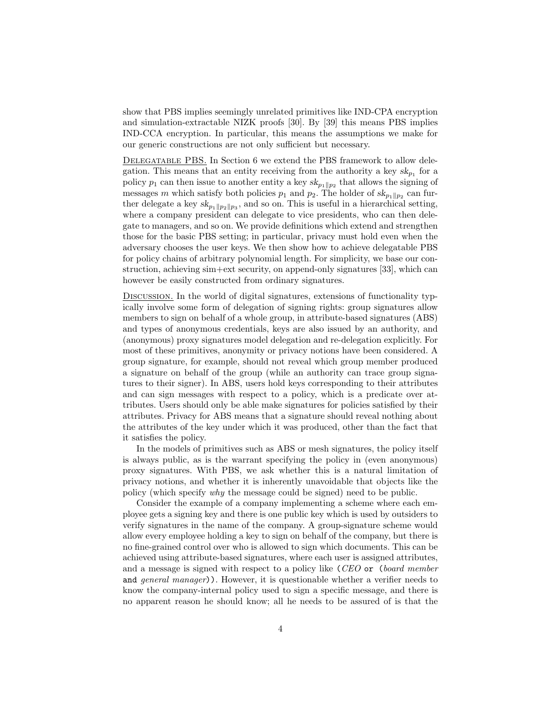show that PBS implies seemingly unrelated primitives like IND-CPA encryption and simulation-extractable NIZK proofs [30]. By [39] this means PBS implies IND-CCA encryption. In particular, this means the assumptions we make for our generic constructions are not only sufficient but necessary.

DELEGATABLE PBS. In Section 6 we extend the PBS framework to allow delegation. This means that an entity receiving from the authority a key  $sk_{p_1}$  for a policy  $p_1$  can then issue to another entity a key  $sk_{p_1||p_2}$  that allows the signing of messages m which satisfy both policies  $p_1$  and  $p_2$ . The holder of  $sk_{p_1||p_2}$  can further delegate a key  $sk_{p_1||p_2||p_3}$ , and so on. This is useful in a hierarchical setting, where a company president can delegate to vice presidents, who can then delegate to managers, and so on. We provide definitions which extend and strengthen those for the basic PBS setting; in particular, privacy must hold even when the adversary chooses the user keys. We then show how to achieve delegatable PBS for policy chains of arbitrary polynomial length. For simplicity, we base our construction, achieving sim+ext security, on append-only signatures [33], which can however be easily constructed from ordinary signatures.

DISCUSSION. In the world of digital signatures, extensions of functionality typically involve some form of delegation of signing rights: group signatures allow members to sign on behalf of a whole group, in attribute-based signatures (ABS) and types of anonymous credentials, keys are also issued by an authority, and (anonymous) proxy signatures model delegation and re-delegation explicitly. For most of these primitives, anonymity or privacy notions have been considered. A group signature, for example, should not reveal which group member produced a signature on behalf of the group (while an authority can trace group signatures to their signer). In ABS, users hold keys corresponding to their attributes and can sign messages with respect to a policy, which is a predicate over attributes. Users should only be able make signatures for policies satisfied by their attributes. Privacy for ABS means that a signature should reveal nothing about the attributes of the key under which it was produced, other than the fact that it satisfies the policy.

In the models of primitives such as ABS or mesh signatures, the policy itself is always public, as is the warrant specifying the policy in (even anonymous) proxy signatures. With PBS, we ask whether this is a natural limitation of privacy notions, and whether it is inherently unavoidable that objects like the policy (which specify why the message could be signed) need to be public.

Consider the example of a company implementing a scheme where each employee gets a signing key and there is one public key which is used by outsiders to verify signatures in the name of the company. A group-signature scheme would allow every employee holding a key to sign on behalf of the company, but there is no fine-grained control over who is allowed to sign which documents. This can be achieved using attribute-based signatures, where each user is assigned attributes, and a message is signed with respect to a policy like (CEO or (board member and general manager)). However, it is questionable whether a verifier needs to know the company-internal policy used to sign a specific message, and there is no apparent reason he should know; all he needs to be assured of is that the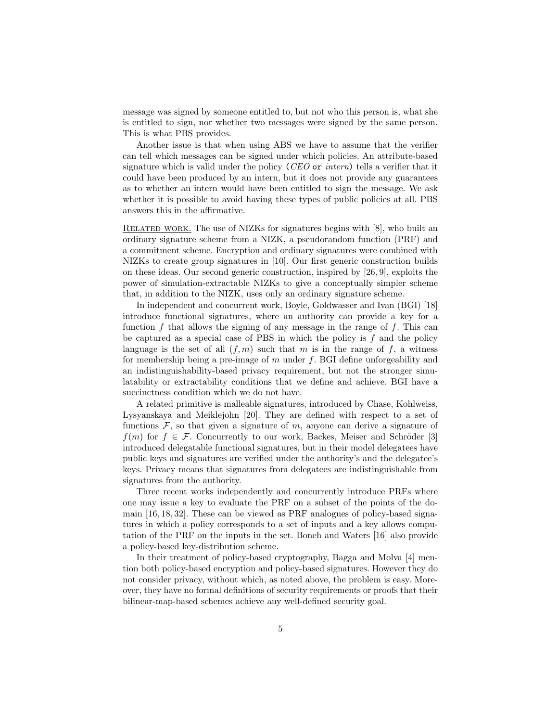message was signed by someone entitled to, but not who this person is, what she is entitled to sign, nor whether two messages were signed by the same person. This is what PBS provides.

Another issue is that when using ABS we have to assume that the verifier can tell which messages can be signed under which policies. An attribute-based signature which is valid under the policy (CEO or intern) tells a verifier that it could have been produced by an intern, but it does not provide any guarantees as to whether an intern would have been entitled to sign the message. We ask whether it is possible to avoid having these types of public policies at all. PBS answers this in the affirmative.

Related work. The use of NIZKs for signatures begins with [8], who built an ordinary signature scheme from a NIZK, a pseudorandom function (PRF) and a commitment scheme. Encryption and ordinary signatures were combined with NIZKs to create group signatures in [10]. Our first generic construction builds on these ideas. Our second generic construction, inspired by [26, 9], exploits the power of simulation-extractable NIZKs to give a conceptually simpler scheme that, in addition to the NIZK, uses only an ordinary signature scheme.

In independent and concurrent work, Boyle, Goldwasser and Ivan (BGI) [18] introduce functional signatures, where an authority can provide a key for a function  $f$  that allows the signing of any message in the range of  $f$ . This can be captured as a special case of PBS in which the policy is  $f$  and the policy language is the set of all  $(f, m)$  such that m is in the range of f, a witness for membership being a pre-image of  $m$  under  $f$ . BGI define unforgeability and an indistinguishability-based privacy requirement, but not the stronger simulatability or extractability conditions that we define and achieve. BGI have a succinctness condition which we do not have.

A related primitive is malleable signatures, introduced by Chase, Kohlweiss, Lysyanskaya and Meiklejohn [20]. They are defined with respect to a set of functions  $F$ , so that given a signature of  $m$ , anyone can derive a signature of  $f(m)$  for  $f \in \mathcal{F}$ . Concurrently to our work, Backes, Meiser and Schröder [3] introduced delegatable functional signatures, but in their model delegatees have public keys and signatures are verified under the authority's and the delegatee's keys. Privacy means that signatures from delegatees are indistinguishable from signatures from the authority.

Three recent works independently and concurrently introduce PRFs where one may issue a key to evaluate the PRF on a subset of the points of the domain [16, 18, 32]. These can be viewed as PRF analogues of policy-based signatures in which a policy corresponds to a set of inputs and a key allows computation of the PRF on the inputs in the set. Boneh and Waters [16] also provide a policy-based key-distribution scheme.

In their treatment of policy-based cryptography, Bagga and Molva [4] mention both policy-based encryption and policy-based signatures. However they do not consider privacy, without which, as noted above, the problem is easy. Moreover, they have no formal definitions of security requirements or proofs that their bilinear-map-based schemes achieve any well-defined security goal.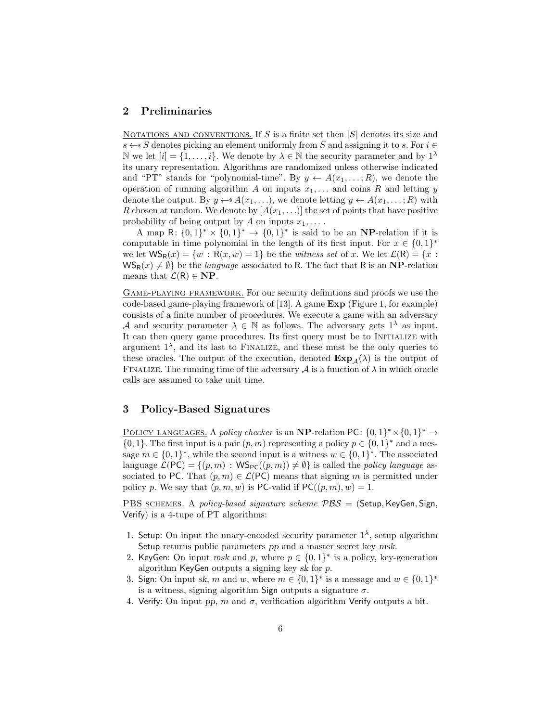## 2 Preliminaries

NOTATIONS AND CONVENTIONS. If S is a finite set then  $|S|$  denotes its size and  $s \leftarrow s S$  denotes picking an element uniformly from S and assigning it to s. For  $i \in$ N we let  $[i] = \{1, \ldots, i\}$ . We denote by  $\lambda \in \mathbb{N}$  the security parameter and by  $1^{\lambda}$ its unary representation. Algorithms are randomized unless otherwise indicated and "PT" stands for "polynomial-time". By  $y \leftarrow A(x_1,...;R)$ , we denote the operation of running algorithm A on inputs  $x_1, \ldots$  and coins R and letting y denote the output. By  $y \leftarrow A(x_1, \ldots)$ , we denote letting  $y \leftarrow A(x_1, \ldots; R)$  with R chosen at random. We denote by  $[A(x_1, \ldots)]$  the set of points that have positive probability of being output by A on inputs  $x_1, \ldots$ .

A map R:  $\{0,1\}^* \times \{0,1\}^* \rightarrow \{0,1\}^*$  is said to be an **NP**-relation if it is computable in time polynomial in the length of its first input. For  $x \in \{0,1\}^*$ we let  $\mathsf{WS}_{\mathsf{R}}(x) = \{w : \mathsf{R}(x,w) = 1\}$  be the *witness set* of x. We let  $\mathcal{L}(\mathsf{R}) = \{x :$  $WS_R(x) \neq \emptyset$  be the *language* associated to R. The fact that R is an **NP**-relation means that  $\mathcal{L}(R) \in \mathbf{NP}$ .

Game-playing framework. For our security definitions and proofs we use the code-based game-playing framework of [13]. A game Exp (Figure 1, for example) consists of a finite number of procedures. We execute a game with an adversary A and security parameter  $\lambda \in \mathbb{N}$  as follows. The adversary gets  $1^{\lambda}$  as input. It can then query game procedures. Its first query must be to INITIALIZE with argument  $1^{\lambda}$ , and its last to FINALIZE, and these must be the only queries to these oracles. The output of the execution, denoted  $\text{Exp}_{\mathcal{A}}(\lambda)$  is the output of FINALIZE. The running time of the adversary  $A$  is a function of  $\lambda$  in which oracle calls are assumed to take unit time.

## 3 Policy-Based Signatures

POLICY LANGUAGES. A policy checker is an **NP**-relation PC:  $\{0,1\}^* \times \{0,1\}^* \rightarrow$  $\{0,1\}$ . The first input is a pair  $(p,m)$  representing a policy  $p \in \{0,1\}^*$  and a message  $m \in \{0,1\}^*$ , while the second input is a witness  $w \in \{0,1\}^*$ . The associated language  $\mathcal{L}(PC) = \{(p, m) : WS_{PC}((p, m)) \neq \emptyset\}$  is called the *policy language* associated to PC. That  $(p, m) \in \mathcal{L}(\mathsf{PC})$  means that signing m is permitted under policy p. We say that  $(p, m, w)$  is PC-valid if PC $((p, m), w) = 1$ .

PBS sCHEMES. A policy-based signature scheme  $PBS =$  (Setup, KeyGen, Sign, Verify) is a 4-tupe of PT algorithms:

- 1. Setup: On input the unary-encoded security parameter  $1^{\lambda}$ , setup algorithm Setup returns public parameters pp and a master secret key msk.
- 2. KeyGen: On input msk and p, where  $p \in \{0,1\}^*$  is a policy, key-generation algorithm KeyGen outputs a signing key sk for p.
- 3. Sign: On input sk, m and w, where  $m \in \{0,1\}^*$  is a message and  $w \in \{0,1\}^*$ is a witness, signing algorithm Sign outputs a signature  $\sigma$ .
- 4. Verify: On input pp, m and  $\sigma$ , verification algorithm Verify outputs a bit.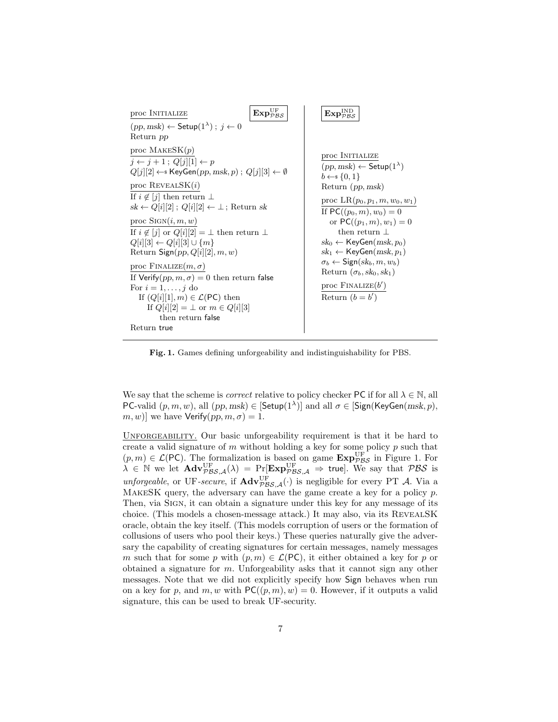| $\mathrm{Exp}_{\mathcal{DRS}}^{\mathrm{UF}}$<br>proc INITIALIZE<br>$(pp, msk) \leftarrow$ Setup $(1^{\lambda})$ ; $j \leftarrow 0$<br>Return <i>pp</i>                                                                                                                                                                                                                                                                                                                                                                                                                                                                                                                                                                 | $Exp_{\mathcal{B}RS}^{\mu\nu\nu}$                                                                                                                                                                                                                                                                                                                                                                                                                                                           |
|------------------------------------------------------------------------------------------------------------------------------------------------------------------------------------------------------------------------------------------------------------------------------------------------------------------------------------------------------------------------------------------------------------------------------------------------------------------------------------------------------------------------------------------------------------------------------------------------------------------------------------------------------------------------------------------------------------------------|---------------------------------------------------------------------------------------------------------------------------------------------------------------------------------------------------------------------------------------------------------------------------------------------------------------------------------------------------------------------------------------------------------------------------------------------------------------------------------------------|
| proc $M$ AKES $K(p)$<br>$j \leftarrow j + 1$ ; $Q[j][1] \leftarrow p$<br>$Q[i][2] \leftarrow \{ \text{KeyGen}(pp, msk, p) : Q[i][3] \leftarrow \emptyset$<br>proc REVEALS $K(i)$<br>If $i \notin [j]$ then return $\perp$<br>$sk \leftarrow Q[i][2]$ ; $Q[i][2] \leftarrow \perp$ ; Return sk<br>proc $SIGN(i, m, w)$<br>If $i \notin [j]$ or $Q[i][2] = \perp$ then return $\perp$<br>$Q[i][3] \leftarrow Q[i][3] \cup \{m\}$<br>Return Sign(pp, $Q[i][2], m, w$ )<br>proc FINALIZE $(m, \sigma)$<br>If Verify $(pp, m, \sigma) = 0$ then return false<br>For $i=1,\ldots,j$ do<br>If $(Q[i][1], m) \in \mathcal{L}(\mathsf{PC})$ then<br>If $Q[i][2] = \perp$ or $m \in Q[i][3]$<br>then return false<br>Return true | proc INITIALIZE<br>$(pp, msk) \leftarrow$ Setup $(1^{\lambda})$<br>$b \leftarrow s \{0, 1\}$<br>Return $(pp, msk)$<br>proc $LR(p_0, p_1, m, w_0, w_1)$<br>If $PC((p_0, m), w_0) = 0$<br>or $PC((p_1,m),w_1)=0$<br>then return $\perp$<br>$sk_0 \leftarrow \mathsf{KeyGen}(\text{msk}, p_0)$<br>$sk_1 \leftarrow \textsf{KeyGen}(msk, p_1)$<br>$\sigma_b \leftarrow$ Sign(sk <sub>b</sub> , m, $w_b$ )<br>Return $(\sigma_b, sk_0, sk_1)$<br>proc $\text{FINALIZE}(b')$<br>Return $(b = b')$ |

Fig. 1. Games defining unforgeability and indistinguishability for PBS.

We say that the scheme is *correct* relative to policy checker PC if for all  $\lambda \in \mathbb{N}$ , all PC-valid  $(p, m, w)$ , all  $(pp, msk) \in [\mathsf{Setup}(1^{\lambda})]$  and all  $\sigma \in [\mathsf{Sign}(\mathsf{KeyGen}(msk, p),$  $[m, w)]$  we have Verify $(pp, m, \sigma) = 1$ .

UNFORGEABILITY. Our basic unforgeability requirement is that it be hard to create a valid signature of  $m$  without holding a key for some policy  $p$  such that  $(p, m) \in \mathcal{L}(\textsf{PC})$ . The formalization is based on game  $\text{Exp}_{\mathcal{PS}}^{\text{UF}}$  in Figure 1. For  $\lambda \in \mathbb{N}$  we let  $\mathbf{Adv}_{\mathcal{PBS},\mathcal{A}}^{\text{UF}}(\lambda) = \Pr[\mathbf{Exp}_{\mathcal{PBS},\mathcal{A}}^{\text{UF}} \Rightarrow \mathsf{true}]$ . We say that  $\mathcal{PBS}$  is unforgeable, or UF-secure, if  $\text{Adv}_{\mathcal{PBS},\mathcal{A}}^{\text{UF}}(\cdot)$  is negligible for every PT A. Via a MAKESK query, the adversary can have the game create a key for a policy p. Then, via Sign, it can obtain a signature under this key for any message of its choice. (This models a chosen-message attack.) It may also, via its RevealSK oracle, obtain the key itself. (This models corruption of users or the formation of collusions of users who pool their keys.) These queries naturally give the adversary the capability of creating signatures for certain messages, namely messages m such that for some p with  $(p, m) \in \mathcal{L}(\mathsf{PC})$ , it either obtained a key for p or obtained a signature for m. Unforgeability asks that it cannot sign any other messages. Note that we did not explicitly specify how Sign behaves when run on a key for p, and m, w with  $PC((p, m), w) = 0$ . However, if it outputs a valid signature, this can be used to break UF-security.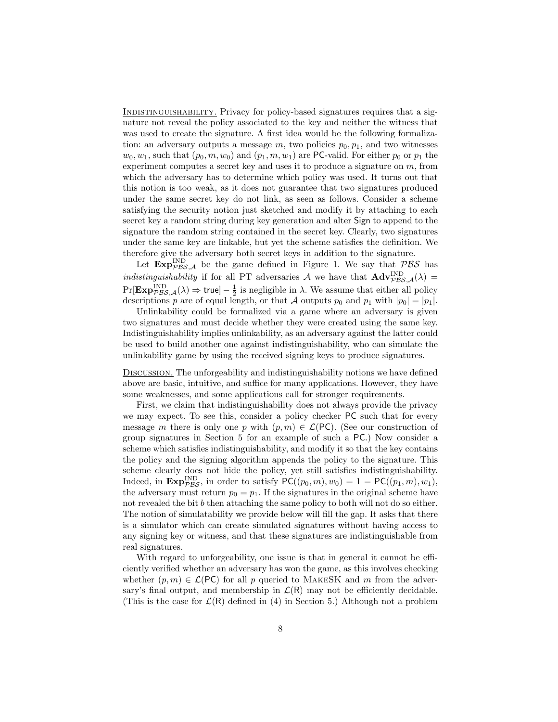Indistinguishability. Privacy for policy-based signatures requires that a signature not reveal the policy associated to the key and neither the witness that was used to create the signature. A first idea would be the following formalization: an adversary outputs a message  $m$ , two policies  $p_0, p_1$ , and two witnesses  $w_0, w_1$ , such that  $(p_0, m, w_0)$  and  $(p_1, m, w_1)$  are PC-valid. For either  $p_0$  or  $p_1$  the experiment computes a secret key and uses it to produce a signature on  $m$ , from which the adversary has to determine which policy was used. It turns out that this notion is too weak, as it does not guarantee that two signatures produced under the same secret key do not link, as seen as follows. Consider a scheme satisfying the security notion just sketched and modify it by attaching to each secret key a random string during key generation and alter Sign to append to the signature the random string contained in the secret key. Clearly, two signatures under the same key are linkable, but yet the scheme satisfies the definition. We therefore give the adversary both secret keys in addition to the signature.

Let  $\text{Exp}_{\mathcal{PBS},\mathcal{A}}^{\text{IND}}$  be the game defined in Figure 1. We say that  $\mathcal{PBS}$  has *indistinguishability* if for all PT adversaries A we have that  $\mathbf{Adv}_{\mathcal{PBS},\mathcal{A}}^{\text{IND}}(\lambda)$  =  $Pr[\text{Exp}_{\mathcal{PSA},\mathcal{A}}^{\text{IND}}(\lambda) \Rightarrow \text{true}] - \frac{1}{2}$  is negligible in  $\lambda$ . We assume that either all policy descriptions p are of equal length, or that A outputs  $p_0$  and  $p_1$  with  $|p_0| = |p_1|$ .

Unlinkability could be formalized via a game where an adversary is given two signatures and must decide whether they were created using the same key. Indistinguishability implies unlinkability, as an adversary against the latter could be used to build another one against indistinguishability, who can simulate the unlinkability game by using the received signing keys to produce signatures.

Discussion. The unforgeability and indistinguishability notions we have defined above are basic, intuitive, and suffice for many applications. However, they have some weaknesses, and some applications call for stronger requirements.

First, we claim that indistinguishability does not always provide the privacy we may expect. To see this, consider a policy checker PC such that for every message m there is only one p with  $(p, m) \in \mathcal{L}(PC)$ . (See our construction of group signatures in Section 5 for an example of such a PC.) Now consider a scheme which satisfies indistinguishability, and modify it so that the key contains the policy and the signing algorithm appends the policy to the signature. This scheme clearly does not hide the policy, yet still satisfies indistinguishability. Indeed, in  $\mathbf{Exp}_{\mathcal{PBS}}^{\text{IND}}$ , in order to satisfy  $\mathsf{PC}((p_0,m), w_0) = 1 = \mathsf{PC}((p_1,m), w_1),$ the adversary must return  $p_0 = p_1$ . If the signatures in the original scheme have not revealed the bit b then attaching the same policy to both will not do so either. The notion of simulatability we provide below will fill the gap. It asks that there is a simulator which can create simulated signatures without having access to any signing key or witness, and that these signatures are indistinguishable from real signatures.

With regard to unforgeability, one issue is that in general it cannot be efficiently verified whether an adversary has won the game, as this involves checking whether  $(p, m) \in \mathcal{L}(\mathsf{PC})$  for all p queried to MAKESK and m from the adversary's final output, and membership in  $\mathcal{L}(R)$  may not be efficiently decidable. (This is the case for  $\mathcal{L}(R)$  defined in (4) in Section 5.) Although not a problem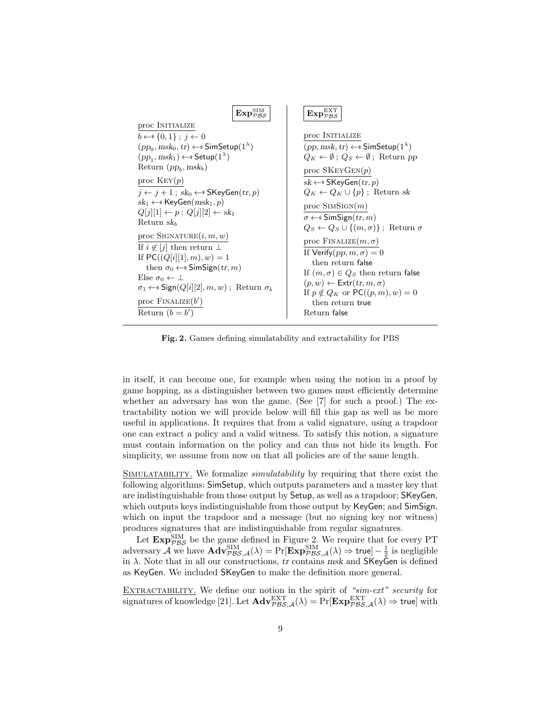| $Exp_{\mathcal{DR}^S}^{\text{SIM}}$                                                                  | $Exp_{\mathcal{DRS}}^{\text{EXT}}$                                  |
|------------------------------------------------------------------------------------------------------|---------------------------------------------------------------------|
| proc INITIALIZE                                                                                      |                                                                     |
| $b \leftarrow s \{0,1\}; j \leftarrow 0$                                                             | proc INITIALIZE                                                     |
| $(pp_0, msk_0, tr) \leftarrow$ SimSetup $(1^{\lambda})$                                              | $(pp, msk, tr) \leftarrow$ SimSetup $(1^{\lambda})$                 |
| $(pp_1, msk_1) \leftarrow s$ Setup $(1^{\lambda})$                                                   | $Q_K \leftarrow \emptyset$ ; $Q_S \leftarrow \emptyset$ ; Return pp |
| Return $(pp_b, m s k_b)$                                                                             | proc $SKEYGEN(p)$                                                   |
| proc $Ker(p)$                                                                                        | $sk \leftarrow s$ SKeyGen $(tr, p)$                                 |
| $i \leftarrow i + 1$ ; $sk_0 \leftarrow s$ SKeyGen $(tr, p)$                                         | $Q_K \leftarrow Q_K \cup \{p\}$ ; Return sk                         |
| $sk_1 \leftarrow$ KeyGen $(msk_1, p)$                                                                | proc $SimSign(m)$                                                   |
| $Q[j][1] \leftarrow p$ ; $Q[j][2] \leftarrow sk_1$                                                   | $\sigma \leftarrow$ SimSign $(tr, m)$                               |
| Return sk <sub>b</sub>                                                                               | $Q_S \leftarrow Q_S \cup \{(m, \sigma)\}\;$ : Return $\sigma$       |
| proc SIGNATURE $(i, m, w)$                                                                           | proc FINALIZE $(m, \sigma)$                                         |
| If $i \notin [j]$ then return $\perp$                                                                | If Verify $(pp, m, \sigma) = 0$                                     |
| If $PC((Q[i][1], m), w) = 1$                                                                         | then return false                                                   |
| then $\sigma_0 \leftarrow$ SimSign $(tr, m)$                                                         | If $(m, \sigma) \in Q_S$ then return false                          |
| Else $\sigma_0 \leftarrow \perp$<br>$\sigma_1 \leftarrow$ Sign( $Q[i][2], m, w$ ); Return $\sigma_b$ | $(p, w) \leftarrow \textsf{Extr}(tr, m, \sigma)$                    |
|                                                                                                      | If $p \notin Q_K$ or $PC((p, m), w) = 0$                            |
| proc $\text{FinALIZE}(b')$                                                                           | then return true                                                    |
| Return $(b = b')$                                                                                    | Return false                                                        |

Fig. 2. Games defining simulatability and extractability for PBS

in itself, it can become one, for example when using the notion in a proof by game hopping, as a distinguisher between two games must efficiently determine whether an adversary has won the game. (See [7] for such a proof.) The extractability notion we will provide below will fill this gap as well as be more useful in applications. It requires that from a valid signature, using a trapdoor one can extract a policy and a valid witness. To satisfy this notion, a signature must contain information on the policy and can thus not hide its length. For simplicity, we assume from now on that all policies are of the same length.

Simulatability. We formalize simulatability by requiring that there exist the following algorithms: SimSetup, which outputs parameters and a master key that are indistinguishable from those output by Setup, as well as a trapdoor; SKeyGen, which outputs keys indistinguishable from those output by KeyGen; and SimSign, which on input the trapdoor and a message (but no signing key nor witness) produces signatures that are indistinguishable from regular signatures.

Let  $\text{Exp}_{\mathcal{PBS}}^{\text{SIM}}$  be the game defined in Figure 2. We require that for every PT adversary A we have  $\mathbf{Adv}_{\mathcal{PBS},\mathcal{A}}^{\text{SIM}}(\lambda) = \Pr[\mathbf{Exp}_{\mathcal{PBS},\mathcal{A}}^{\text{SIM}}(\lambda) \Rightarrow \mathsf{true}] - \frac{1}{2}$  is negligible in  $\lambda$ . Note that in all our constructions, tr contains msk and SKeyGen is defined as KeyGen. We included SKeyGen to make the definition more general.

EXTRACTABILITY. We define our notion in the spirit of "sim-ext" security for signatures of knowledge [21]. Let  $\mathbf{Adv}_{\mathcal{PBS},\mathcal{A}}^{\mathrm{EXT}}(\lambda) = \Pr[\mathbf{Exp}_{\mathcal{PBS},\mathcal{A}}^{\mathrm{EXT}}(\lambda) \Rightarrow$  true] with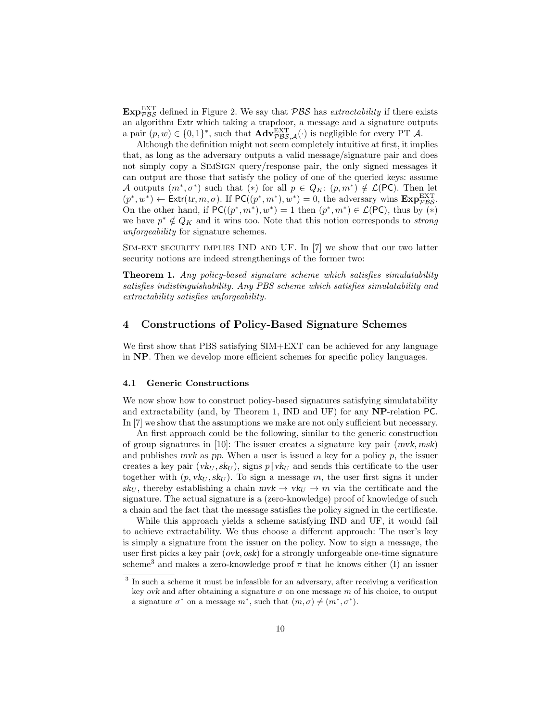$\text{Exp}_{\mathcal{PBS}}^{\text{EXT}}$  defined in Figure 2. We say that  $\mathcal{PBS}$  has *extractability* if there exists an algorithm Extr which taking a trapdoor, a message and a signature outputs a pair  $(p, w) \in \{0, 1\}^*$ , such that  $\mathbf{Adv}_{\mathcal{PBS}, \mathcal{A}}^{\text{EXT}}(\cdot)$  is negligible for every PT  $\mathcal{A}$ .

Although the definition might not seem completely intuitive at first, it implies that, as long as the adversary outputs a valid message/signature pair and does not simply copy a SimSign query/response pair, the only signed messages it can output are those that satisfy the policy of one of the queried keys: assume A outputs  $(m^*, \sigma^*)$  such that  $(*)$  for all  $p \in Q_K: (p, m^*) \notin \mathcal{L}(PC)$ . Then let  $(p^*, w^*) \leftarrow \text{Extr}(tr, m, \sigma)$ . If  $\text{PC}((p^*, m^*), w^*) = 0$ , the adversary wins  $\text{Exp}_{\mathcal{PBS}}^{\text{EXT}}$ . On the other hand, if  $PC((p^*, m^*), w^*) = 1$  then  $(p^*, m^*) \in \mathcal{L}(PC)$ , thus by  $(*)$ we have  $p^* \notin Q_K$  and it wins too. Note that this notion corresponds to *strong* unforgeability for signature schemes.

Sim-ext security implies IND and UF. In [7] we show that our two latter security notions are indeed strengthenings of the former two:

Theorem 1. Any policy-based signature scheme which satisfies simulatability satisfies indistinguishability. Any PBS scheme which satisfies simulatability and extractability satisfies unforgeability.

## 4 Constructions of Policy-Based Signature Schemes

We first show that PBS satisfying SIM+EXT can be achieved for any language in NP. Then we develop more efficient schemes for specific policy languages.

#### 4.1 Generic Constructions

We now show how to construct policy-based signatures satisfying simulatability and extractability (and, by Theorem 1, IND and UF) for any NP-relation PC. In [7] we show that the assumptions we make are not only sufficient but necessary.

An first approach could be the following, similar to the generic construction of group signatures in [10]: The issuer creates a signature key pair (mvk, msk) and publishes mvk as pp. When a user is issued a key for a policy  $p$ , the issuer creates a key pair  $(vk_U, sk_U)$ , signs  $p||vk_U$  and sends this certificate to the user together with  $(p, v k_U, s k_U)$ . To sign a message m, the user first signs it under  $sk_{U}$ , thereby establishing a chain  $mvk \rightarrow vk_{U} \rightarrow m$  via the certificate and the signature. The actual signature is a (zero-knowledge) proof of knowledge of such a chain and the fact that the message satisfies the policy signed in the certificate.

While this approach yields a scheme satisfying IND and UF, it would fail to achieve extractability. We thus choose a different approach: The user's key is simply a signature from the issuer on the policy. Now to sign a message, the user first picks a key pair (ovk, osk) for a strongly unforgeable one-time signature scheme<sup>3</sup> and makes a zero-knowledge proof  $\pi$  that he knows either (I) an issuer

<sup>&</sup>lt;sup>3</sup> In such a scheme it must be infeasible for an adversary, after receiving a verification key ovk and after obtaining a signature  $\sigma$  on one message m of his choice, to output a signature  $\sigma^*$  on a message  $m^*$ , such that  $(m, \sigma) \neq (m^*, \sigma^*)$ .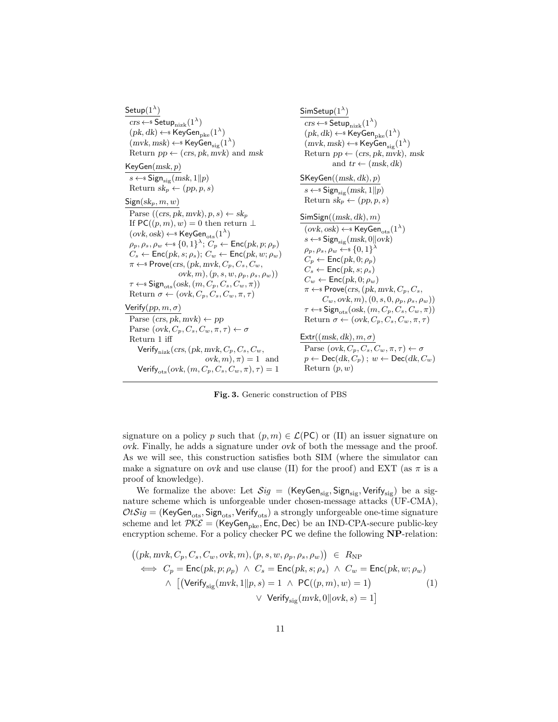$\mathsf{Setup}(1^\lambda)$  $\mathit{crs} \leftarrow\!\! \mathsf{s}\, \mathsf{Setup}_{\mathrm{nizk}}(1^\lambda)$  $(pk, dk) \leftarrow$ s KeyGen $_{\text{pke}}(1^{\lambda})$  $(mvk, msk) \leftarrow$  Key $\mathsf{\hat{G}en}_{\text{sig}}(1^{\lambda})$ Return  $pp \leftarrow (crs, pk, mvk)$  and msk KeyGen(msk, p) s ← Sign $_{\text{sig}}(\text{msk}, 1|| p)$ Return  $sk_p \leftarrow (pp, p, s)$  $Sign(sk_n, m, w)$ Parse  $((crs, pk, mvk), p, s) \leftarrow sk_p$ If  $PC((p, m), w) = 0$  then return  $\perp$  $(\mathit{ovk}, \mathit{osk}) \leftarrow \!\! \ast \mathsf{KeyGen}_{\mathit{ots}}(1^\lambda)$  $\rho_p, \rho_s, \rho_w \leftarrow \{0, 1\}^{\lambda}; C_p \leftarrow \mathsf{Enc}(pk, p; \rho_p)$  $C_s \leftarrow \mathsf{Enc}(pk, s; \rho_s); C_w \leftarrow \mathsf{Enc}(pk, w; \rho_w)$  $\pi \leftarrow$  Prove $(crs, (pk, mvk, C_p, C_s, C_w,$  $ovk, m$ ,  $(p, s, w, \rho_p, \rho_s, \rho_w)$  $\tau \leftarrow s$  Sign<sub>ots</sub>(osk,  $(m, C_p, C_s, C_w, \pi)$ ) Return  $\sigma \leftarrow (ovk, C_p, C_s, C_w, \pi, \tau)$ Verify $(pp, m, \sigma)$ Parse  $(crs, pk, mvk) \leftarrow pp$ Parse  $(ovk, C_p, C_s, C_w, \pi, \tau) \leftarrow \sigma$ Return 1 iff Verify $_{\text{nizk}}(crs, (pk, mvk, C_p, C_s, C_w,$  $ovk, m$ ,  $\pi$ ) = 1 and Verify<sub>ots</sub> $(ovk, (m, C_p, C_s, C_w, \pi), \tau) = 1$  $\mathsf{SimSetup}(1^\lambda)$  $\mathit{crs} \leftarrow\!\! \mathsf{s}\, \mathsf{Setup}_{\mathrm{nizk}}(1^\lambda)$  $(pk, dk) \leftarrow$  KeyGen<sub>pke</sub> $(1^{\lambda})$  $(mvk, msk) \leftarrow$  KeyGen<sub>sig</sub> $(1^{\lambda})$ Return  $pp \leftarrow (crs, pk, mvk), msk$ and  $tr \leftarrow (msk, dk)$ SKeyGen((msk, dk), p) s ← Sign $_{\text{sig}}(\text{msk}, 1|| p)$ Return  $sk_p \leftarrow (pp, p, s)$  $SimSign((msk, dk), m)$  $(ovk, osk) \leftarrow$  **KeyGen**<sub>ots</sub> $(1^{\lambda})$  $s \leftarrow$ \$ Sign<sub>sig</sub>(msk, 0∥ovk)  $\rho_p, \rho_s, \rho_w \leftarrow \{0,1\}^{\lambda}$  $C_p \leftarrow \mathsf{Enc}(pk, 0; \rho_p)$  $C_s \leftarrow \mathsf{Enc}(pk, s; \rho_s)$  $C_w \leftarrow \mathsf{Enc}(pk, 0; \rho_w)$  $\pi \leftarrow s$  Prove $(crs, (pk, mvk, C_p, C_s,$  $C_w, \text{ovk}, m), (0, s, 0, \rho_p, \rho_s, \rho_w))$  $\tau \leftarrow$  Sign<sub>ots</sub>(osk,  $(m, C_p, C_s, C_w, \pi))$ Return  $\sigma \leftarrow (ovk, C_p, C_s, C_w, \pi, \tau)$  $Ext((msk, dk), m, \sigma)$ Parse  $(ovk, C_p, C_s, C_w, \pi, \tau) \leftarrow \sigma$  $p \leftarrow \mathsf{Dec}(dk, C_p)$ ;  $w \leftarrow \mathsf{Dec}(dk, C_w)$ Return  $(p, w)$ 

Fig. 3. Generic construction of PBS

signature on a policy p such that  $(p, m) \in \mathcal{L}(PC)$  or (II) an issuer signature on ovk. Finally, he adds a signature under ovk of both the message and the proof. As we will see, this construction satisfies both SIM (where the simulator can make a signature on ovk and use clause (II) for the proof) and EXT (as  $\pi$  is a proof of knowledge).

We formalize the above: Let  $\mathcal{S}ig = (\mathsf{KeyGen}_{\text{sig}}, \mathsf{Sign}_{\text{sig}}, \mathsf{Verify}_{\text{sig}})$  be a signature scheme which is unforgeable under chosen-message attacks (UF-CMA),  $\mathcal{O}t\mathcal{S}ig = (KeyGen_{ots}, Sign_{ots}, Verify_{ots})$  a strongly unforgeable one-time signature scheme and let  $PKE = (KeyGen<sub>oke</sub>, Enc, Dec)$  be an IND-CPA-secure public-key encryption scheme. For a policy checker PC we define the following NP-relation:

 $(1)$ 

$$
((pk, mvk, C_p, C_s, C_w, ovk, m), (p, s, w, \rho_p, \rho_s, \rho_w)) \in R_{\text{NP}}
$$
  
\n
$$
\iff C_p = \text{Enc}(pk, p; \rho_p) \land C_s = \text{Enc}(pk, s; \rho_s) \land C_w = \text{Enc}(pk, w; \rho_w)
$$
  
\n
$$
\land \left[ (\text{Verify}_{\text{sig}}(mvk, 1 \| p, s) = 1 \land \text{PC}((p, m), w) = 1) \right] \lor \text{Verify}_{\text{sig}}(mvk, 0 \| ovk, s) = 1 \right]
$$
  
\n(1)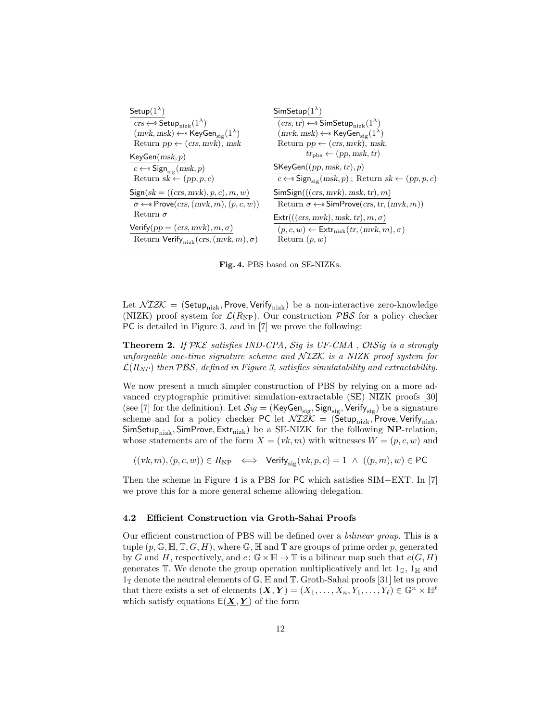| Setup $(1^{\lambda})$                                                                  | SimSetup $(1^{\lambda})$                                                         |
|----------------------------------------------------------------------------------------|----------------------------------------------------------------------------------|
| $\operatorname{crs} \leftarrow \operatorname{setup}_{\operatorname{mix}}(1^{\lambda})$ | $(crs, tr) \leftarrow$ SimSetup <sub>nizk</sub> $(1^{\lambda})$                  |
| $(mvk, msk) \leftarrow$ KeyGen <sub>sig</sub> $(1^{\lambda})$                          | $(mvk, msk) \leftarrow$ s KeyGen $_{\text{sig}}(1^{\lambda})$                    |
| Return $pp \leftarrow (crs, mvk), msk$                                                 | Return $pp \leftarrow (crs, mvk), msk,$                                          |
| KeyGen(msk, p)                                                                         | $tr_{\text{obs}} \leftarrow (pp, msk, tr)$                                       |
| $c \leftarrow s$ Sign <sub>sig</sub> $(msk, p)$                                        | $\mathsf{SKeyGen}((pp, msk, tr), p)$                                             |
| Return $sk \leftarrow (pp, p, c)$                                                      | $c \leftarrow s$ Sign <sub>sig</sub> (msk, p); Return sk $\leftarrow (pp, p, c)$ |
| $Sign(sk = ((crs, mvk), p, c), m, w)$                                                  | SimSign(((crs, mvk), msk, tr), m)                                                |
| $\sigma \leftarrow$ Prove $(crs, (mvk, m), (p, c, w))$                                 | Return $\sigma \leftarrow$ SimProve $(crs, tr, (mvk, m))$                        |
| Return $\sigma$                                                                        | $Ext((crs, mvk), msk, tr), m, \sigma)$                                           |
| Verify( $pp = (crs, mvk), m, \sigma$ )                                                 | $(p, c, w) \leftarrow \text{Extr}_{\text{nizk}}(tr, (mvk, m), \sigma)$           |
| Return Verify <sub>nizk</sub> (crs, $(mvk, m), \sigma)$                                | Return $(p, w)$                                                                  |

Fig. 4. PBS based on SE-NIZKs.

Let  $NIZK = (Setup_{nizk}, Prove, Verify_{nizk})$  be a non-interactive zero-knowledge (NIZK) proof system for  $\mathcal{L}(R_{\text{NP}})$ . Our construction  $\mathcal{PBS}$  for a policy checker PC is detailed in Figure 3, and in [7] we prove the following:

**Theorem 2.** If  $PKE$  satisfies IND-CPA, Sig is UF-CMA,  $OtSig$  is a strongly unforgeable one-time signature scheme and NIZK is a NIZK proof system for  $\mathcal{L}(R_{NP})$  then PBS, defined in Figure 3, satisfies simulatability and extractability.

We now present a much simpler construction of PBS by relying on a more advanced cryptographic primitive: simulation-extractable (SE) NIZK proofs [30] (see [7] for the definition). Let  $\mathcal{S}ig =$  (KeyGen<sub>sig</sub>, Sign<sub>sig</sub>, Verify<sub>sig</sub>) be a signature scheme and for a policy checker PC let  $\mathcal{NIZK} = \mathcal{S}$ etup<sub>nizk</sub>, Prove, Verify<sub>nizk</sub>, SimSetup<sub>nizk</sub>, SimProve, Extr<sub>nizk</sub>) be a SE-NIZK for the following NP-relation, whose statements are of the form  $X = (vk, m)$  with witnesses  $W = (p, c, w)$  and

 $((vk, m), (p, c, w)) \in R_{\text{NP}} \iff \text{Verify}_{\text{sig}}(vk, p, c) = 1 \land ((p, m), w) \in \text{PC}$ 

Then the scheme in Figure 4 is a PBS for PC which satisfies SIM+EXT. In [7] we prove this for a more general scheme allowing delegation.

#### 4.2 Efficient Construction via Groth-Sahai Proofs

Our efficient construction of PBS will be defined over a bilinear group. This is a tuple  $(p, \mathbb{G}, \mathbb{H}, \mathbb{T}, G, H)$ , where  $\mathbb{G}, \mathbb{H}$  and  $\mathbb{T}$  are groups of prime order p, generated by G and H, respectively, and  $e: \mathbb{G} \times \mathbb{H} \to \mathbb{T}$  is a bilinear map such that  $e(G, H)$ generates  $\mathbb T$ . We denote the group operation multiplicatively and let  $1_{\mathbb G}$ ,  $1_{\mathbb H}$  and  $1_T$  denote the neutral elements of G, H and T. Groth-Sahai proofs [31] let us prove that there exists a set of elements  $(X, Y) = (X_1, \ldots, X_n, Y_1, \ldots, Y_\ell) \in \mathbb{G}^n \times \mathbb{H}^\ell$ which satisfy equations  $E(\mathbf{X}, \mathbf{Y})$  of the form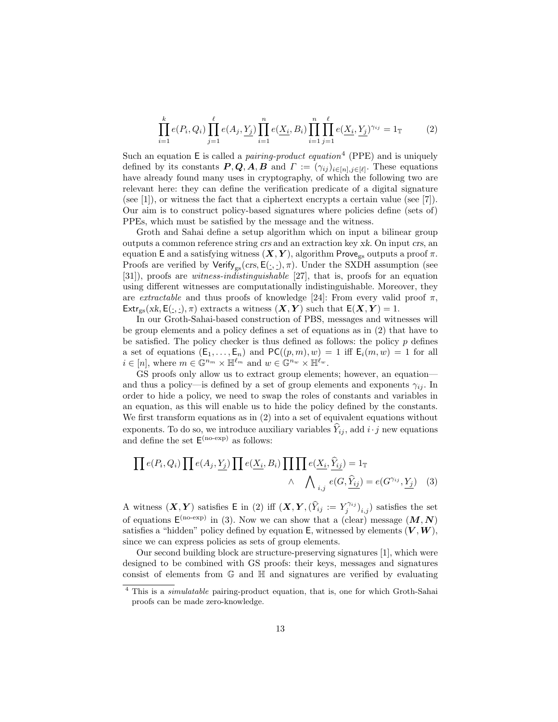$$
\prod_{i=1}^{k} e(P_i, Q_i) \prod_{j=1}^{\ell} e(A_j, \underline{Y}_j) \prod_{i=1}^{n} e(\underline{X}_i, B_i) \prod_{i=1}^{n} \prod_{j=1}^{\ell} e(\underline{X}_i, \underline{Y}_j)^{\gamma_{ij}} = 1_{\mathbb{T}}
$$
(2)

Such an equation  $E$  is called a *pairing-product equation*<sup>4</sup> (PPE) and is uniquely defined by its constants  $P, Q, A, B$  and  $\Gamma := (\gamma_{ij})_{i \in [n], j \in [\ell]}$ . These equations have already found many uses in cryptography, of which the following two are relevant here: they can define the verification predicate of a digital signature (see [1]), or witness the fact that a ciphertext encrypts a certain value (see [7]). Our aim is to construct policy-based signatures where policies define (sets of) PPEs, which must be satisfied by the message and the witness.

Groth and Sahai define a setup algorithm which on input a bilinear group outputs a common reference string crs and an extraction key xk. On input crs, an equation E and a satisfying witness  $(X, Y)$ , algorithm Prove<sub>gs</sub> outputs a proof  $\pi$ . Proofs are verified by  $Verify_{gs}(crs, E(\cdot, \cdot), \pi)$ . Under the SXDH assumption (see [31]), proofs are witness-indistinguishable [27], that is, proofs for an equation using different witnesses are computationally indistinguishable. Moreover, they are extractable and thus proofs of knowledge [24]: From every valid proof  $\pi$ ,  $Ext_{gs}(xk, E(\underline{\cdot}, \underline{\cdot}), \pi)$  extracts a witness  $(X, Y)$  such that  $E(X, Y) = 1$ .

In our Groth-Sahai-based construction of PBS, messages and witnesses will be group elements and a policy defines a set of equations as in (2) that have to be satisfied. The policy checker is thus defined as follows: the policy  $p$  defines a set of equations  $(E_1, \ldots, E_n)$  and  $PC((p, m), w) = 1$  iff  $E_i(m, w) = 1$  for all  $i \in [n]$ , where  $m \in \mathbb{G}^{n_m} \times \mathbb{H}^{\ell_m}$  and  $w \in \mathbb{G}^{n_w} \times \mathbb{H}^{\ell_w}$ .

GS proofs only allow us to extract group elements; however, an equation and thus a policy—is defined by a set of group elements and exponents  $\gamma_{ij}$ . In order to hide a policy, we need to swap the roles of constants and variables in an equation, as this will enable us to hide the policy defined by the constants. We first transform equations as in (2) into a set of equivalent equations without exponents. To do so, we introduce auxiliary variables  $\hat{Y}_{ij}$ , add  $i \cdot j$  new equations and define the set  $E^{(no-exp)}$  as follows:

$$
\prod e(P_i, Q_i) \prod e(A_j, \underline{Y_j}) \prod e(\underline{X_i}, B_i) \prod \prod e(\underline{X_i}, \widehat{Y}_{ij}) = 1_{\mathbb{T}} \wedge \bigwedge_{i,j} e(G, \widehat{\underline{Y}_{ij}}) = e(G^{\gamma_{ij}}, \underline{Y_j}) \quad (3)
$$

A witness  $(X, Y)$  satisfies E in (2) iff  $(X, Y, (\hat{Y}_{ij} := Y_j^{\gamma_{ij}})_{i,j})$  satisfies the set of equations  $\mathsf{E}^{(\text{no-exp})}$  in (3). Now we can show that a (clear) message  $(M, N)$ satisfies a "hidden" policy defined by equation E, witnessed by elements  $(V, W)$ , since we can express policies as sets of group elements.

Our second building block are structure-preserving signatures [1], which were designed to be combined with GS proofs: their keys, messages and signatures consist of elements from  $\mathbb{G}$  and  $\mathbb{H}$  and signatures are verified by evaluating

<sup>&</sup>lt;sup>4</sup> This is a *simulatable* pairing-product equation, that is, one for which Groth-Sahai proofs can be made zero-knowledge.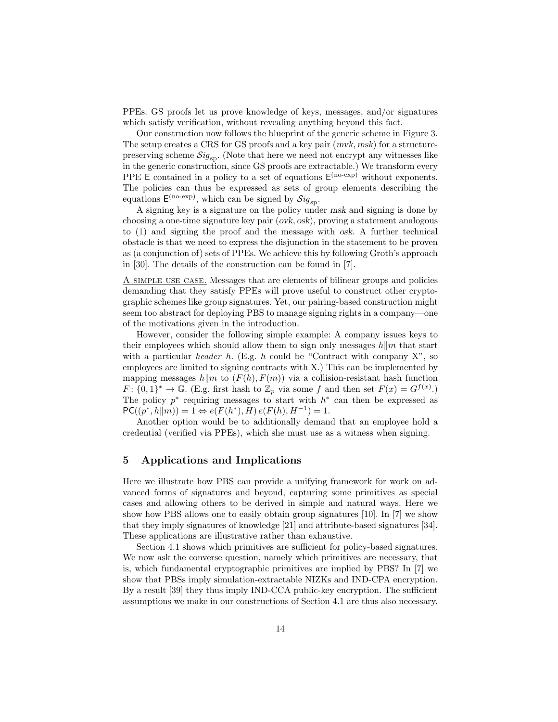PPEs. GS proofs let us prove knowledge of keys, messages, and/or signatures which satisfy verification, without revealing anything beyond this fact.

Our construction now follows the blueprint of the generic scheme in Figure 3. The setup creates a CRS for GS proofs and a key pair (mvk, msk) for a structurepreserving scheme  $\mathcal{S}ig_{\rm{sn}}$ . (Note that here we need not encrypt any witnesses like in the generic construction, since GS proofs are extractable.) We transform every PPE  $E$  contained in a policy to a set of equations  $E^{(no-exp)}$  without exponents. The policies can thus be expressed as sets of group elements describing the equations  $E^{(no-exp)}$ , which can be signed by  $\mathcal{S}ig_{sp}$ .

A signing key is a signature on the policy under msk and signing is done by choosing a one-time signature key pair (ovk, osk), proving a statement analogous to (1) and signing the proof and the message with osk. A further technical obstacle is that we need to express the disjunction in the statement to be proven as (a conjunction of) sets of PPEs. We achieve this by following Groth's approach in [30]. The details of the construction can be found in [7].

A simple use case. Messages that are elements of bilinear groups and policies demanding that they satisfy PPEs will prove useful to construct other cryptographic schemes like group signatures. Yet, our pairing-based construction might seem too abstract for deploying PBS to manage signing rights in a company—one of the motivations given in the introduction.

However, consider the following simple example: A company issues keys to their employees which should allow them to sign only messages  $h||m$  that start with a particular header h. (E.g. h could be "Contract with company  $X$ ", so employees are limited to signing contracts with X.) This can be implemented by mapping messages  $h||m$  to  $(F(h), F(m))$  via a collision-resistant hash function  $F: \{0,1\}^* \to \mathbb{G}$ . (E.g. first hash to  $\mathbb{Z}_p$  via some f and then set  $F(x) = G^{f(x)}$ .) The policy  $p^*$  requiring messages to start with  $h^*$  can then be expressed as  $PC((p^*, h \| m)) = 1 \Leftrightarrow e(F(h^*), H) e(F(h), H^{-1}) = 1.$ 

Another option would be to additionally demand that an employee hold a credential (verified via PPEs), which she must use as a witness when signing.

## 5 Applications and Implications

Here we illustrate how PBS can provide a unifying framework for work on advanced forms of signatures and beyond, capturing some primitives as special cases and allowing others to be derived in simple and natural ways. Here we show how PBS allows one to easily obtain group signatures [10]. In [7] we show that they imply signatures of knowledge [21] and attribute-based signatures [34]. These applications are illustrative rather than exhaustive.

Section 4.1 shows which primitives are sufficient for policy-based signatures. We now ask the converse question, namely which primitives are necessary, that is, which fundamental cryptographic primitives are implied by PBS? In [7] we show that PBSs imply simulation-extractable NIZKs and IND-CPA encryption. By a result [39] they thus imply IND-CCA public-key encryption. The sufficient assumptions we make in our constructions of Section 4.1 are thus also necessary.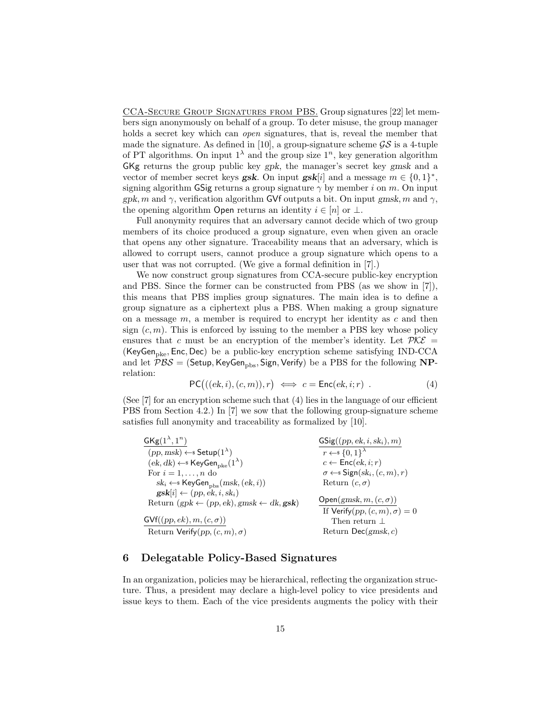CCA-Secure Group Signatures from PBS. Group signatures [22] let members sign anonymously on behalf of a group. To deter misuse, the group manager holds a secret key which can *open* signatures, that is, reveal the member that made the signature. As defined in [10], a group-signature scheme  $\mathcal{GS}$  is a 4-tuple of PT algorithms. On input  $1^{\lambda}$  and the group size  $1^n$ , key generation algorithm GKg returns the group public key gpk, the manager's secret key gmsk and a vector of member secret keys **gsk**. On input **gsk**[i] and a message  $m \in \{0, 1\}^*$ , signing algorithm GSig returns a group signature  $\gamma$  by member i on m. On input gpk, m and  $\gamma$ , verification algorithm GVf outputs a bit. On input gmsk, m and  $\gamma$ , the opening algorithm Open returns an identity  $i \in [n]$  or  $\perp$ .

Full anonymity requires that an adversary cannot decide which of two group members of its choice produced a group signature, even when given an oracle that opens any other signature. Traceability means that an adversary, which is allowed to corrupt users, cannot produce a group signature which opens to a user that was not corrupted. (We give a formal definition in [7].)

We now construct group signatures from CCA-secure public-key encryption and PBS. Since the former can be constructed from PBS (as we show in [7]), this means that PBS implies group signatures. The main idea is to define a group signature as a ciphertext plus a PBS. When making a group signature on a message  $m$ , a member is required to encrypt her identity as  $c$  and then sign  $(c, m)$ . This is enforced by issuing to the member a PBS key whose policy ensures that c must be an encryption of the member's identity. Let  $PKE =$ (KeyGen<sub>pke</sub>, Enc, Dec) be a public-key encryption scheme satisfying IND-CCA and let  $\hat{\mathcal{P}}\mathcal{BS} =$  (Setup, KeyGen<sub>pbs</sub>, Sign, Verify) be a PBS for the following NPrelation:

$$
\mathsf{PC}(((ek, i), (c, m)), r) \iff c = \mathsf{Enc}(ek, i; r) . \tag{4}
$$

(See [7] for an encryption scheme such that (4) lies in the language of our efficient PBS from Section 4.2.) In [7] we sow that the following group-signature scheme satisfies full anonymity and traceability as formalized by [10].

| $GKg(1^{\lambda}, 1^n)$                                     | $GSig((pp, ek, i, sk_i), m)$                          |
|-------------------------------------------------------------|-------------------------------------------------------|
| $(pp, msk) \leftarrow$ Setup $(1^{\lambda})$                | $r \leftarrow \{0,1\}^{\lambda}$                      |
| $(ek, dk) \leftarrow$ KeyGen <sub>pke</sub> $(1^{\lambda})$ | $c \leftarrow \mathsf{Enc}(ek, i; r)$                 |
| For $i=1,\ldots,n$ do                                       | $\sigma \leftarrow$ Sign(sk <sub>i</sub> , (c, m), r) |
| $sk_i \leftarrow$ KeyGen <sub>pbs</sub> $(msk, (ek, i))$    | Return $(c, \sigma)$                                  |
| $\mathbf{g}$ sk $[i] \leftarrow (pp, ek, i, sk_i)$          |                                                       |
| Return $(gpk \leftarrow (pp, ek), gmsk \leftarrow dk, gsk)$ | Open $(gmsk, m, (c, \sigma))$                         |
|                                                             | If Verify $(pp, (c, m), \sigma) = 0$                  |
| $\mathsf{GVf}((pp,ek),m,(c,\sigma))$                        | Then return $\perp$                                   |
| Return Verify $(pp, (c, m), \sigma)$                        | Return Dec( $cmsk, c$ )                               |

### 6 Delegatable Policy-Based Signatures

In an organization, policies may be hierarchical, reflecting the organization structure. Thus, a president may declare a high-level policy to vice presidents and issue keys to them. Each of the vice presidents augments the policy with their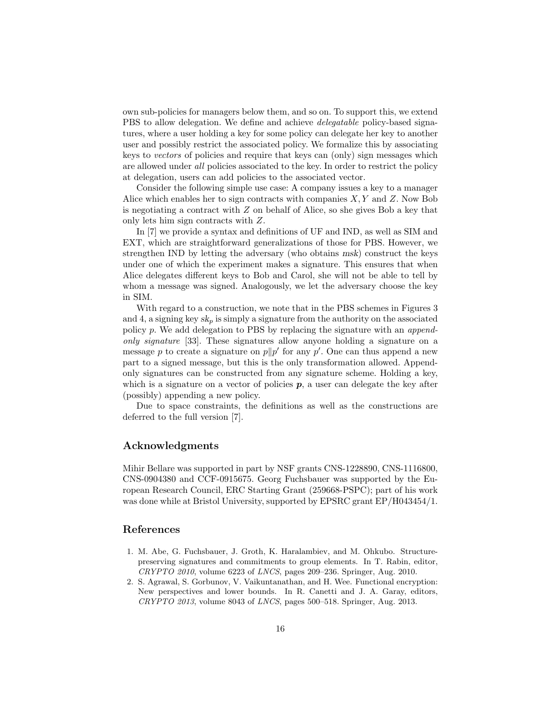own sub-policies for managers below them, and so on. To support this, we extend PBS to allow delegation. We define and achieve delegatable policy-based signatures, where a user holding a key for some policy can delegate her key to another user and possibly restrict the associated policy. We formalize this by associating keys to vectors of policies and require that keys can (only) sign messages which are allowed under all policies associated to the key. In order to restrict the policy at delegation, users can add policies to the associated vector.

Consider the following simple use case: A company issues a key to a manager Alice which enables her to sign contracts with companies  $X, Y$  and  $Z$ . Now Bob is negotiating a contract with Z on behalf of Alice, so she gives Bob a key that only lets him sign contracts with Z.

In [7] we provide a syntax and definitions of UF and IND, as well as SIM and EXT, which are straightforward generalizations of those for PBS. However, we strengthen IND by letting the adversary (who obtains msk) construct the keys under one of which the experiment makes a signature. This ensures that when Alice delegates different keys to Bob and Carol, she will not be able to tell by whom a message was signed. Analogously, we let the adversary choose the key in SIM.

With regard to a construction, we note that in the PBS schemes in Figures 3 and 4, a signing key  $sk_p$  is simply a signature from the authority on the associated policy p. We add delegation to PBS by replacing the signature with an appendonly signature [33]. These signatures allow anyone holding a signature on a message p to create a signature on  $p||p'$  for any p'. One can thus append a new part to a signed message, but this is the only transformation allowed. Appendonly signatures can be constructed from any signature scheme. Holding a key, which is a signature on a vector of policies  $p$ , a user can delegate the key after (possibly) appending a new policy.

Due to space constraints, the definitions as well as the constructions are deferred to the full version [7].

## Acknowledgments

Mihir Bellare was supported in part by NSF grants CNS-1228890, CNS-1116800, CNS-0904380 and CCF-0915675. Georg Fuchsbauer was supported by the European Research Council, ERC Starting Grant (259668-PSPC); part of his work was done while at Bristol University, supported by EPSRC grant EP/H043454/1.

## References

- 1. M. Abe, G. Fuchsbauer, J. Groth, K. Haralambiev, and M. Ohkubo. Structurepreserving signatures and commitments to group elements. In T. Rabin, editor, CRYPTO 2010, volume 6223 of LNCS, pages 209–236. Springer, Aug. 2010.
- 2. S. Agrawal, S. Gorbunov, V. Vaikuntanathan, and H. Wee. Functional encryption: New perspectives and lower bounds. In R. Canetti and J. A. Garay, editors, CRYPTO 2013, volume 8043 of LNCS, pages 500–518. Springer, Aug. 2013.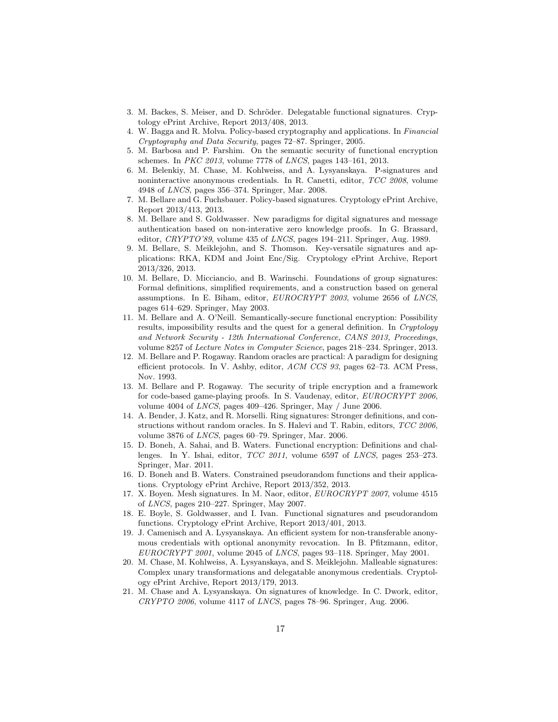- 3. M. Backes, S. Meiser, and D. Schröder. Delegatable functional signatures. Cryptology ePrint Archive, Report 2013/408, 2013.
- 4. W. Bagga and R. Molva. Policy-based cryptography and applications. In Financial Cryptography and Data Security, pages 72–87. Springer, 2005.
- 5. M. Barbosa and P. Farshim. On the semantic security of functional encryption schemes. In PKC 2013, volume 7778 of LNCS, pages 143–161, 2013.
- 6. M. Belenkiy, M. Chase, M. Kohlweiss, and A. Lysyanskaya. P-signatures and noninteractive anonymous credentials. In R. Canetti, editor, TCC 2008, volume 4948 of LNCS, pages 356–374. Springer, Mar. 2008.
- 7. M. Bellare and G. Fuchsbauer. Policy-based signatures. Cryptology ePrint Archive, Report 2013/413, 2013.
- 8. M. Bellare and S. Goldwasser. New paradigms for digital signatures and message authentication based on non-interative zero knowledge proofs. In G. Brassard, editor, CRYPTO'89, volume 435 of LNCS, pages 194–211. Springer, Aug. 1989.
- 9. M. Bellare, S. Meiklejohn, and S. Thomson. Key-versatile signatures and applications: RKA, KDM and Joint Enc/Sig. Cryptology ePrint Archive, Report 2013/326, 2013.
- 10. M. Bellare, D. Micciancio, and B. Warinschi. Foundations of group signatures: Formal definitions, simplified requirements, and a construction based on general assumptions. In E. Biham, editor, EUROCRYPT 2003, volume 2656 of LNCS, pages 614–629. Springer, May 2003.
- 11. M. Bellare and A. O'Neill. Semantically-secure functional encryption: Possibility results, impossibility results and the quest for a general definition. In Cryptology and Network Security - 12th International Conference, CANS 2013, Proceedings, volume 8257 of Lecture Notes in Computer Science, pages 218–234. Springer, 2013.
- 12. M. Bellare and P. Rogaway. Random oracles are practical: A paradigm for designing efficient protocols. In V. Ashby, editor, ACM CCS 93, pages 62–73. ACM Press, Nov. 1993.
- 13. M. Bellare and P. Rogaway. The security of triple encryption and a framework for code-based game-playing proofs. In S. Vaudenay, editor, EUROCRYPT 2006, volume 4004 of LNCS, pages 409–426. Springer, May / June 2006.
- 14. A. Bender, J. Katz, and R. Morselli. Ring signatures: Stronger definitions, and constructions without random oracles. In S. Halevi and T. Rabin, editors, TCC 2006, volume 3876 of LNCS, pages 60–79. Springer, Mar. 2006.
- 15. D. Boneh, A. Sahai, and B. Waters. Functional encryption: Definitions and challenges. In Y. Ishai, editor, TCC 2011, volume 6597 of LNCS, pages 253–273. Springer, Mar. 2011.
- 16. D. Boneh and B. Waters. Constrained pseudorandom functions and their applications. Cryptology ePrint Archive, Report 2013/352, 2013.
- 17. X. Boyen. Mesh signatures. In M. Naor, editor, EUROCRYPT 2007, volume 4515 of LNCS, pages 210–227. Springer, May 2007.
- 18. E. Boyle, S. Goldwasser, and I. Ivan. Functional signatures and pseudorandom functions. Cryptology ePrint Archive, Report 2013/401, 2013.
- 19. J. Camenisch and A. Lysyanskaya. An efficient system for non-transferable anonymous credentials with optional anonymity revocation. In B. Pfitzmann, editor, EUROCRYPT 2001, volume 2045 of LNCS, pages 93–118. Springer, May 2001.
- 20. M. Chase, M. Kohlweiss, A. Lysyanskaya, and S. Meiklejohn. Malleable signatures: Complex unary transformations and delegatable anonymous credentials. Cryptology ePrint Archive, Report 2013/179, 2013.
- 21. M. Chase and A. Lysyanskaya. On signatures of knowledge. In C. Dwork, editor, CRYPTO 2006, volume 4117 of LNCS, pages 78–96. Springer, Aug. 2006.